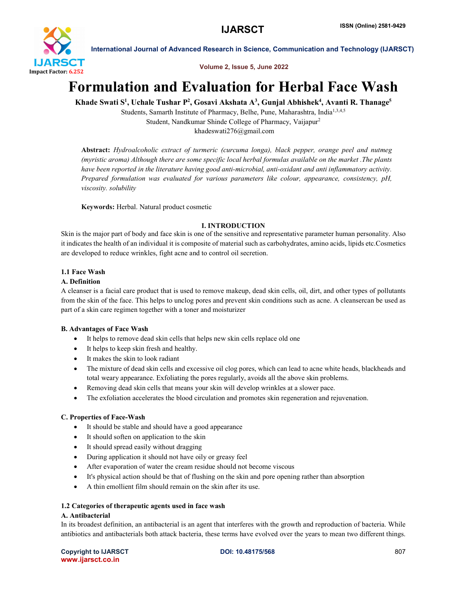

Volume 2, Issue 5, June 2022

# Formulation and Evaluation for Herbal Face Wash

Khade Swati S<sup>1</sup>, Uchale Tushar P<sup>2</sup>, Gosavi Akshata A<sup>3</sup>, Gunjal Abhishek<sup>4</sup>, Avanti R. Thanage<sup>5</sup>

Students, Samarth Institute of Pharmacy, Belhe, Pune, Maharashtra, India<sup>1,3,4,5</sup> Student, Nandkumar Shinde College of Pharmacy, Vaijapur2 khadeswati276@gmail.com

Abstract: *Hydroalcoholic extract of turmeric (curcuma longa), black pepper, orange peel and nutmeg (myristic aroma) Although there are some specific local herbal formulas available on the market .The plants have been reported in the literature having good anti-microbial, anti-oxidant and anti inflammatory activity. Prepared formulation was evaluated for various parameters like colour, appearance, consistency, pH, viscosity. solubility*

Keywords: Herbal. Natural product cosmetic

# I. INTRODUCTION

Skin is the major part of body and face skin is one of the sensitive and representative parameter human personality. Also it indicates the health of an individual it is composite of material such as carbohydrates, amino acids, lipids etc.Cosmetics are developed to reduce wrinkles, fight acne and to control oil secretion.

# 1.1 Face Wash

# A. Definition

A cleanser is a facial care product that is used to remove makeup, dead skin cells, oil, dirt, and other types of pollutants from the skin of the face. This helps to unclog pores and prevent skin conditions such as acne. A cleansercan be used as part of a skin care regimen together with a toner and moisturizer

# B. Advantages of Face Wash

- It helps to remove dead skin cells that helps new skin cells replace old one
- It helps to keep skin fresh and healthy.
- It makes the skin to look radiant
- The mixture of dead skin cells and excessive oil clog pores, which can lead to acne white heads, blackheads and total weary appearance. Exfoliating the pores regularly, avoids all the above skin problems.
- Removing dead skin cells that means your skin will develop wrinkles at a slower pace.
- The exfoliation accelerates the blood circulation and promotes skin regeneration and rejuvenation.

# C. Properties of Face-Wash

- It should be stable and should have a good appearance
- It should soften on application to the skin
- It should spread easily without dragging
- During application it should not have oily or greasy feel
- After evaporation of water the cream residue should not become viscous
- It's physical action should be that of flushing on the skin and pore opening rather than absorption
- A thin emollient film should remain on the skin after its use.

# 1.2 Categories of therapeutic agents used in face wash

# A. Antibacterial

In its broadest definition, an antibacterial is an agent that interferes with the growth and reproduction of bacteria. While antibiotics and antibacterials both attack bacteria, these terms have evolved over the years to mean two different things.

Copyright to IJARSCT **DOI: 10.48175/568** 807 www.ijarsct.co.in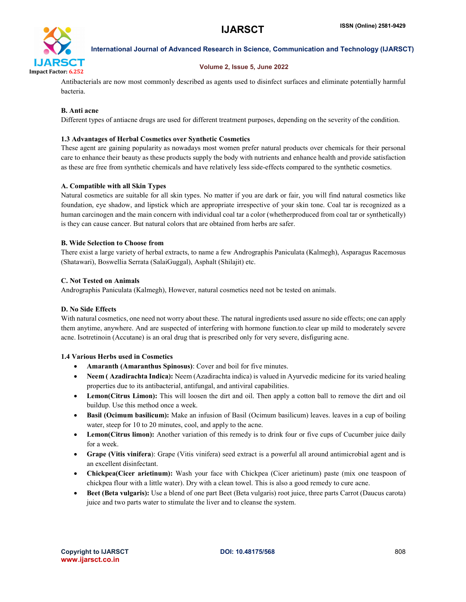

#### Volume 2, Issue 5, June 2022

Antibacterials are now most commonly described as agents used to disinfect surfaces and eliminate potentially harmful bacteria.

# B. Anti acne

Different types of antiacne drugs are used for different treatment purposes, depending on the severity of the condition.

### 1.3 Advantages of Herbal Cosmetics over Synthetic Cosmetics

These agent are gaining popularity as nowadays most women prefer natural products over chemicals for their personal care to enhance their beauty as these products supply the body with nutrients and enhance health and provide satisfaction as these are free from synthetic chemicals and have relatively less side-effects compared to the synthetic cosmetics.

# A. Compatible with all Skin Types

Natural cosmetics are suitable for all skin types. No matter if you are dark or fair, you will find natural cosmetics like foundation, eye shadow, and lipstick which are appropriate irrespective of your skin tone. Coal tar is recognized as a human carcinogen and the main concern with individual coal tar a color (whetherproduced from coal tar or synthetically) is they can cause cancer. But natural colors that are obtained from herbs are safer.

#### B. Wide Selection to Choose from

There exist a large variety of herbal extracts, to name a few Andrographis Paniculata (Kalmegh), Asparagus Racemosus (Shatawari), Boswellia Serrata (SalaiGuggal), Asphalt (Shilajit) etc.

#### C. Not Tested on Animals

Andrographis Paniculata (Kalmegh), However, natural cosmetics need not be tested on animals.

### D. No Side Effects

With natural cosmetics, one need not worry about these. The natural ingredients used assure no side effects; one can apply them anytime, anywhere. And are suspected of interfering with hormone function.to clear up mild to moderately severe acne. Isotretinoin (Accutane) is an oral drug that is prescribed only for very severe, disfiguring acne.

#### 1.4 Various Herbs used in Cosmetics

- Amaranth (Amaranthus Spinosus): Cover and boil for five minutes.
- Neem ( Azadirachta Indica): Neem (Azadirachta indica) is valued in Ayurvedic medicine for its varied healing properties due to its antibacterial, antifungal, and antiviral capabilities.
- Lemon(Citrus Limon): This will loosen the dirt and oil. Then apply a cotton ball to remove the dirt and oil buildup. Use this method once a week.
- Basil (Ocimum basilicum): Make an infusion of Basil (Ocimum basilicum) leaves. leaves in a cup of boiling water, steep for 10 to 20 minutes, cool, and apply to the acne.
- Lemon(Citrus limon): Another variation of this remedy is to drink four or five cups of Cucumber juice daily for a week.
- Grape (Vitis vinifera): Grape (Vitis vinifera) seed extract is a powerful all around antimicrobial agent and is an excellent disinfectant.
- Chickpea(Cicer arietinum): Wash your face with Chickpea (Cicer arietinum) paste (mix one teaspoon of chickpea flour with a little water). Dry with a clean towel. This is also a good remedy to cure acne.
- Beet (Beta vulgaris): Use a blend of one part Beet (Beta vulgaris) root juice, three parts Carrot (Daucus carota) juice and two parts water to stimulate the liver and to cleanse the system.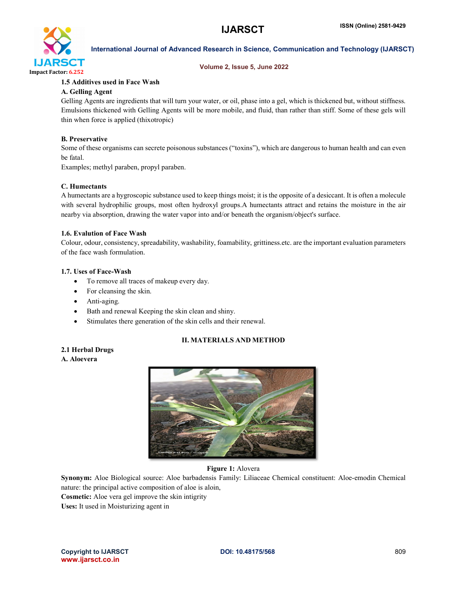

### Volume 2, Issue 5, June 2022

# 1.5 Additives used in Face Wash

# A. Gelling Agent

Gelling Agents are ingredients that will turn your water, or oil, phase into a gel, which is thickened but, without stiffness. Emulsions thickened with Gelling Agents will be more mobile, and fluid, than rather than stiff. Some of these gels will thin when force is applied (thixotropic)

# B. Preservative

Some of these organisms can secrete poisonous substances ("toxins"), which are dangerous to human health and can even be fatal.

Examples; methyl paraben, propyl paraben.

# C. Humectants

A humectants are a hygroscopic substance used to keep things moist; it is the opposite of a desiccant. It is often a molecule with several hydrophilic groups, most often hydroxyl groups.A humectants attract and retains the moisture in the air nearby via absorption, drawing the water vapor into and/or beneath the organism/object's surface.

# 1.6. Evalution of Face Wash

Colour, odour, consistency, spreadability, washability, foamability, grittiness.etc. are the important evaluation parameters of the face wash formulation.

# 1.7. Uses of Face-Wash

- To remove all traces of makeup every day.
- For cleansing the skin.
- Anti-aging.
- Bath and renewal Keeping the skin clean and shiny.
- Stimulates there generation of the skin cells and their renewal.

# II. MATERIALS AND METHOD

# 2.1 Herbal Drugs

A. Aloevera



Figure 1: Alovera

Synonym: Aloe Biological source: Aloe barbadensis Family: Liliaceae Chemical constituent: Aloe-emodin Chemical nature: the principal active composition of aloe is aloin,

Cosmetic: Aloe vera gel improve the skin intigrity

Uses: It used in Moisturizing agent in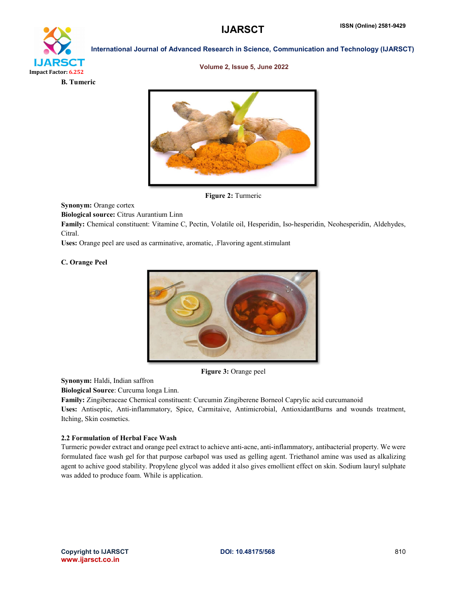

#### Volume 2, Issue 5, June 2022



Figure 2: Turmeric

Synonym: Orange cortex

Biological source: Citrus Aurantium Linn

Family: Chemical constituent: Vitamine C, Pectin, Volatile oil, Hesperidin, Iso-hesperidin, Neohesperidin, Aldehydes, Citral.

Uses: Orange peel are used as carminative, aromatic, .Flavoring agent.stimulant

#### C. Orange Peel



Figure 3: Orange peel

Synonym: Haldi, Indian saffron

Biological Source: Curcuma longa Linn.

Family: Zingiberaceae Chemical constituent: Curcumin Zingiberene Borneol Caprylic acid curcumanoid Uses: Antiseptic, Anti-inflammatory, Spice, Carmitaive, Antimicrobial, AntioxidantBurns and wounds treatment, Itching, Skin cosmetics.

#### 2.2 Formulation of Herbal Face Wash

Turmeric powder extract and orange peel extract to achieve anti-acne, anti-inflammatory, antibacterial property. We were formulated face wash gel for that purpose carbapol was used as gelling agent. Triethanol amine was used as alkalizing agent to achive good stability. Propylene glycol was added it also gives emollient effect on skin. Sodium lauryl sulphate was added to produce foam. While is application.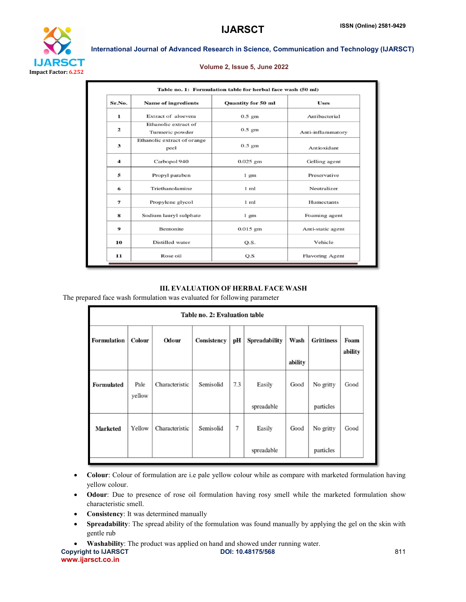

#### Volume 2, Issue 5, June 2022

| Sr.No.           | <b>Name of ingredients</b>              | Quantity for 50 ml | <b>Uses</b>            |  |
|------------------|-----------------------------------------|--------------------|------------------------|--|
| 1                | Extract of aloevera                     | $0.5$ gm           | Antibacterial          |  |
| $\overline{2}$   | Ethanolic extract of<br>Turmeric powder | $0.5$ gm           | Anti-inflammatory      |  |
| 3                | Ethanolic extract of orange<br>peel     | $0.5$ gm           | Antioxidant            |  |
| $\boldsymbol{4}$ | Carbopol 940                            | $0.025$ gm         | Gelling agent          |  |
| 5                | Propyl paraben                          | $1 \text{ gm}$     | Preservative           |  |
| 6                | Triethanolamine                         | $1 \text{ ml}$     | Neutralizer            |  |
| $\overline{7}$   | Propylene glycol                        | $1$ ml             | <b>Humectants</b>      |  |
| 8                | Sodium lauryl sulphate                  | $1 \text{ gm}$     | Foaming agent          |  |
| 9                | <b>Bentonite</b>                        | $0.015$ gm         | Anti-static agent      |  |
| 10               | Distilled water                         | Q.S.               | Vehicle                |  |
| 11               | Rose oil                                | Q.S                | <b>Flavoring Agent</b> |  |

#### III. EVALUATION OF HERBAL FACE WASH

The prepared face wash formulation was evaluated for following parameter

| Table no. 2: Evaluation table |                |                |             |     |                      |         |                   |                 |
|-------------------------------|----------------|----------------|-------------|-----|----------------------|---------|-------------------|-----------------|
| <b>Formulation</b>            | Colour         | Odour          | Consistency | pН  | <b>Spreadability</b> | Wash    | <b>Grittiness</b> | Foam<br>ability |
|                               |                |                |             |     |                      | ability |                   |                 |
| <b>Formulated</b>             | Pale<br>yellow | Characteristic | Semisolid   | 7.3 | Easily               | Good    | No gritty         | Good            |
|                               |                |                |             |     | spreadable           |         | particles         |                 |
| <b>Marketed</b>               | Yellow         | Characteristic | Semisolid   | 7   | Easily               | Good    | No gritty         | Good            |
|                               |                |                |             |     | spreadable           |         | particles         |                 |

- Colour: Colour of formulation are i.e pale yellow colour while as compare with marketed formulation having yellow colour.
- Odour: Due to presence of rose oil formulation having rosy smell while the marketed formulation show characteristic smell.
- Consistency: It was determined manually
- Spreadability: The spread ability of the formulation was found manually by applying the gel on the skin with gentle rub
- Washability: The product was applied on hand and showed under running water.

www.ijarsct.co.in

Copyright to IJARSCT **DOI: 10.48175/568** 811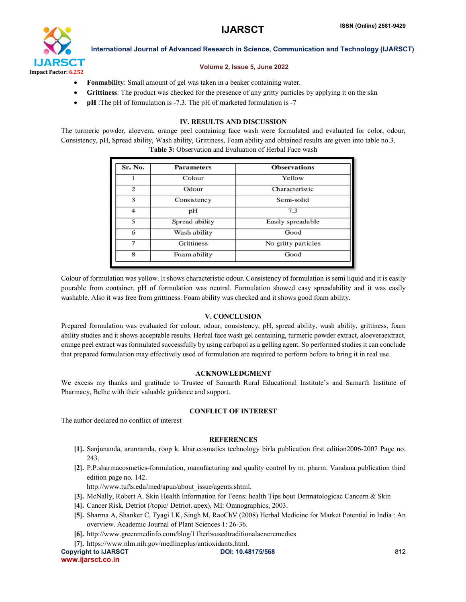

#### Volume 2, Issue 5, June 2022

- Foamability: Small amount of gel was taken in a beaker containing water.
- Grittiness: The product was checked for the presence of any gritty particles by applying it on the skn
- pH :The pH of formulation is -7.3. The pH of marketed formulation is -7

#### IV. RESULTS AND DISCUSSION

The turmeric powder, aloevera, orange peel containing face wash were formulated and evaluated for color, odour, Consistency, pH, Spread ability, Wash ability, Grittiness, Foam ability and obtained results are given into table no.3.

Table 3: Observation and Evaluation of Herbal Face wash

| Sr. No.                  | <b>Parameters</b> | <b>Observations</b> |  |  |
|--------------------------|-------------------|---------------------|--|--|
| 1                        | Colour            | Yellow              |  |  |
| 2                        | Odour             | Characteristic      |  |  |
| 3                        | Consistency       | Semi-solid          |  |  |
| $\overline{\mathcal{A}}$ | pH                | 7.3                 |  |  |
| 5                        | Spread ability    | Easily spreadable   |  |  |
| 6                        | Wash ability      | Good                |  |  |
| $\overline{7}$           | <b>Grittiness</b> | No gritty particles |  |  |
| 8                        | Foam ability      | Good                |  |  |
|                          |                   |                     |  |  |

Colour of formulation was yellow. It shows characteristic odour. Consistency of formulation is semi liquid and it is easily pourable from container. pH of formulation was neutral. Formulation showed easy spreadability and it was easily washable. Also it was free from grittiness. Foam ability was checked and it shows good foam ability.

#### V. CONCLUSION

Prepared formulation was evaluated for colour, odour, consistency, pH, spread ability, wash ability, grittiness, foam ability studies and it shows acceptable results. Herbal face wash gel containing, turmeric powder extract, aloeveraextract, orange peel extract was formulated successfully by using carbapol as a gelling agent. So performed studies it can conclude that prepared formulation may effectively used of formulation are required to perform before to bring it in real use.

#### ACKNOWLEDGMENT

We excess my thanks and gratitude to Trustee of Samarth Rural Educational Institute's and Samarth Institute of Pharmacy, Belhe with their valuable guidance and support.

#### CONFLICT OF INTEREST

The author declared no conflict of interest

#### **REFERENCES**

- [1]. Sanjunanda, arunnanda, roop k. khar.cosmatics technology birla publication first edition2006-2007 Page no. 243.
- [2]. P.P.sharmacosmetics-formulation, manufacturing and quality control by m. pharm. Vandana publication third edition page no. 142.

http://www.tufts.edu/med/apua/about\_issue/agents.shtml.

- [3]. McNally, Robert A. Skin Health Information for Teens: health Tips bout Dermatologicac Cancern & Skin
- [4]. Cancer Risk, Detriot (/topic/ Detriot. apex), MI: Omnographics, 2003.
- [5]. Sharma A, Shanker C, Tyagi LK, Singh M, RaoChV (2008) Herbal Medicine for Market Potential in India : An overview. Academic Journal of Plant Sciences 1: 26-36.
- [6]. http://www.greenmedinfo.com/blog/11herbsusedtraditionalacneremedies
- [7]. https://www.nlm.nih.gov/medlineplus/antioxidants.html.

Copyright to IJARSCT **DOI: 10.48175/568** 812 www.ijarsct.co.in